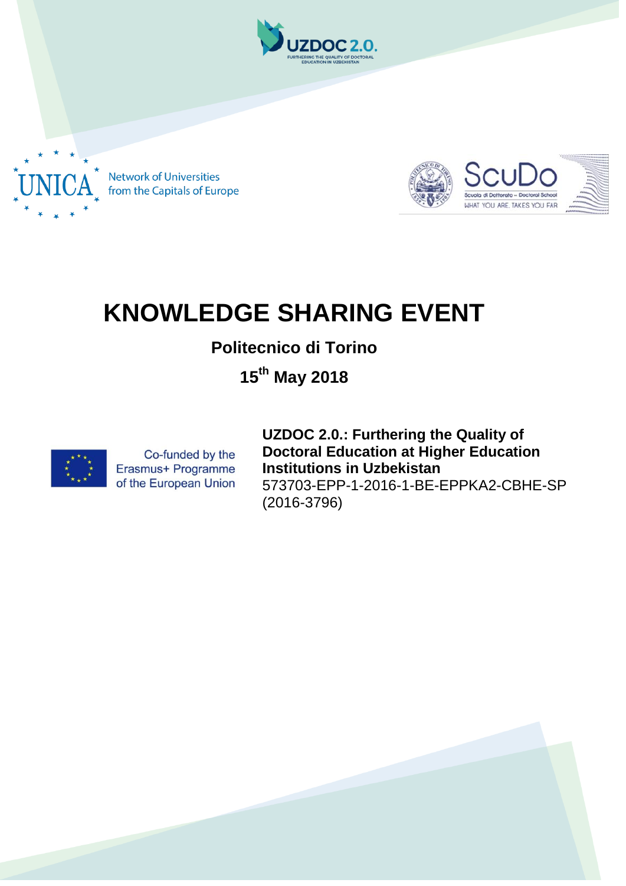

**Network of Universities** from the Capitals of Europe



## **KNOWLEDGE SHARING EVENT**

## **Politecnico di Torino**

**15th May 2018**



Co-funded by the Erasmus+ Programme of the European Union **UZDOC 2.0.: Furthering the Quality of Doctoral Education at Higher Education Institutions in Uzbekistan** 573703-EPP-1-2016-1-BE-EPPKA2-CBHE-SP (2016-3796)

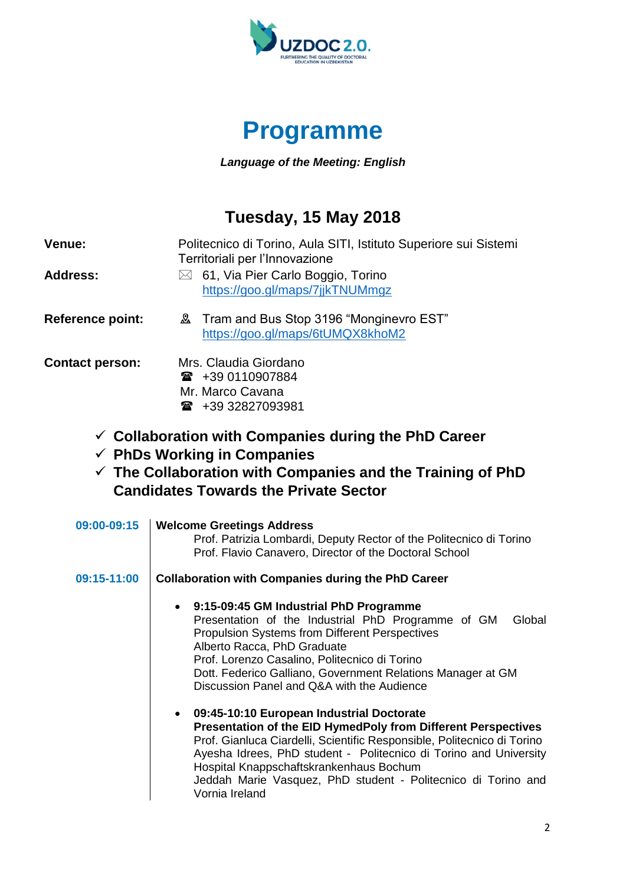



*Language of the Meeting: English*

## **Tuesday, 15 May 2018**

| Venue:                  | Politecnico di Torino, Aula SITI, Istituto Superiore sui Sistemi<br>Territoriali per l'Innovazione                                                                                                                                                                                                                                             |
|-------------------------|------------------------------------------------------------------------------------------------------------------------------------------------------------------------------------------------------------------------------------------------------------------------------------------------------------------------------------------------|
| <b>Address:</b>         | 61, Via Pier Carlo Boggio, Torino<br>$\bowtie$<br>https://goo.gl/maps/7jjkTNUMmgz                                                                                                                                                                                                                                                              |
| <b>Reference point:</b> | <b>2</b> Tram and Bus Stop 3196 "Monginevro EST"<br>https://goo.gl/maps/6tUMQX8khoM2                                                                                                                                                                                                                                                           |
| <b>Contact person:</b>  | Mrs. Claudia Giordano<br>$\mathbf{\widehat{m}}$ +39 0110907884<br>Mr. Marco Cavana<br>16 +39 32827093981<br>$\checkmark$ Collaboration with Companies during the PhD Career<br>$\checkmark$ PhDs Working in Companies<br>$\checkmark$ The Collaboration with Companies and the Training of PhD<br><b>Candidates Towards the Private Sector</b> |
| 09:00-09:15             | <b>Welcome Greetings Address</b><br>Prof. Patrizia Lombardi, Deputy Rector of the Politecnico di Torino<br>Prof. Flavio Canavero, Director of the Doctoral School                                                                                                                                                                              |
| 09:15-11:00             | <b>Collaboration with Companies during the PhD Career</b>                                                                                                                                                                                                                                                                                      |
|                         | 9:15-09:45 GM Industrial PhD Programme<br>Presentation of the Industrial PhD Programme of GM<br>Global<br><b>Propulsion Systems from Different Perspectives</b>                                                                                                                                                                                |

Alberto Racca, PhD Graduate

Vornia Ireland

Prof. Lorenzo Casalino, Politecnico di Torino

Discussion Panel and Q&A with the Audience

**09:45-10:10 European Industrial Doctorate**

Hospital Knappschaftskrankenhaus Bochum

Dott. Federico Galliano, Government Relations Manager at GM

**Presentation of the EID HymedPoly from Different Perspectives** Prof. Gianluca Ciardelli, Scientific Responsible, Politecnico di Torino Ayesha Idrees, PhD student - Politecnico di Torino and University

Jeddah Marie Vasquez, PhD student - Politecnico di Torino and

2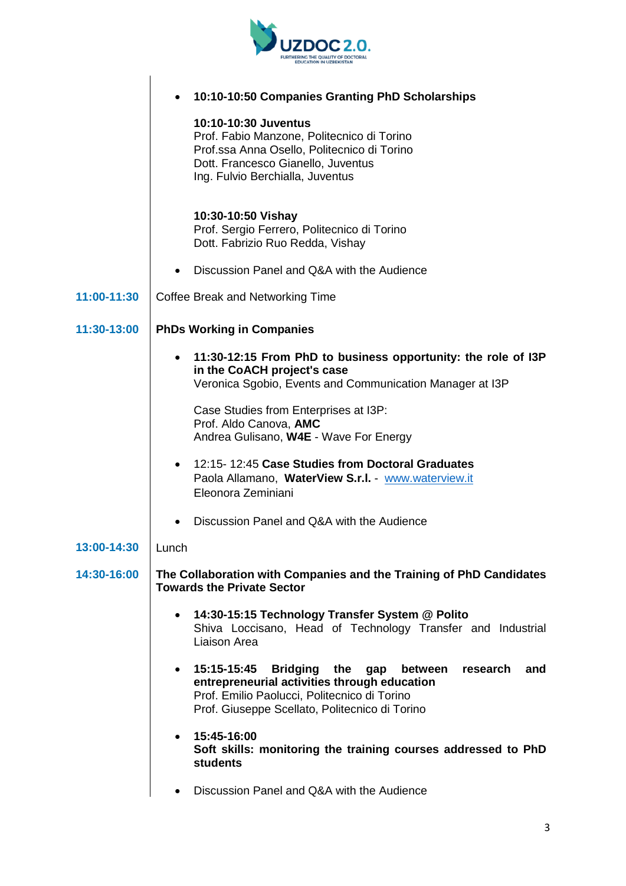

|             | 10:10-10:50 Companies Granting PhD Scholarships                                                                                                                                                                                           |
|-------------|-------------------------------------------------------------------------------------------------------------------------------------------------------------------------------------------------------------------------------------------|
|             | 10:10-10:30 Juventus<br>Prof. Fabio Manzone, Politecnico di Torino<br>Prof.ssa Anna Osello, Politecnico di Torino<br>Dott. Francesco Gianello, Juventus<br>Ing. Fulvio Berchialla, Juventus                                               |
|             | 10:30-10:50 Vishay<br>Prof. Sergio Ferrero, Politecnico di Torino<br>Dott. Fabrizio Ruo Redda, Vishay                                                                                                                                     |
|             | Discussion Panel and Q&A with the Audience<br>٠                                                                                                                                                                                           |
| 11:00-11:30 | Coffee Break and Networking Time                                                                                                                                                                                                          |
| 11:30-13:00 | <b>PhDs Working in Companies</b>                                                                                                                                                                                                          |
|             | 11:30-12:15 From PhD to business opportunity: the role of I3P<br>in the CoACH project's case<br>Veronica Sgobio, Events and Communication Manager at I3P                                                                                  |
|             | Case Studies from Enterprises at I3P:<br>Prof. Aldo Canova, AMC<br>Andrea Gulisano, W4E - Wave For Energy                                                                                                                                 |
|             | 12:15-12:45 Case Studies from Doctoral Graduates<br>$\bullet$<br>Paola Allamano, WaterView S.r.l. - www.waterview.it<br>Eleonora Zeminiani                                                                                                |
|             | Discussion Panel and Q&A with the Audience                                                                                                                                                                                                |
| 13:00-14:30 | Lunch                                                                                                                                                                                                                                     |
| 14:30-16:00 | The Collaboration with Companies and the Training of PhD Candidates<br><b>Towards the Private Sector</b>                                                                                                                                  |
|             | 14:30-15:15 Technology Transfer System @ Polito<br>$\bullet$<br>Shiva Loccisano, Head of Technology Transfer and Industrial<br>Liaison Area                                                                                               |
|             | 15:15-15:45<br><b>Bridging</b><br>the<br>between<br>research<br>and<br>gap<br>$\bullet$<br>entrepreneurial activities through education<br>Prof. Emilio Paolucci, Politecnico di Torino<br>Prof. Giuseppe Scellato, Politecnico di Torino |
|             | 15:45-16:00<br>$\bullet$<br>Soft skills: monitoring the training courses addressed to PhD<br><b>students</b>                                                                                                                              |
|             | Discussion Panel and Q&A with the Audience                                                                                                                                                                                                |